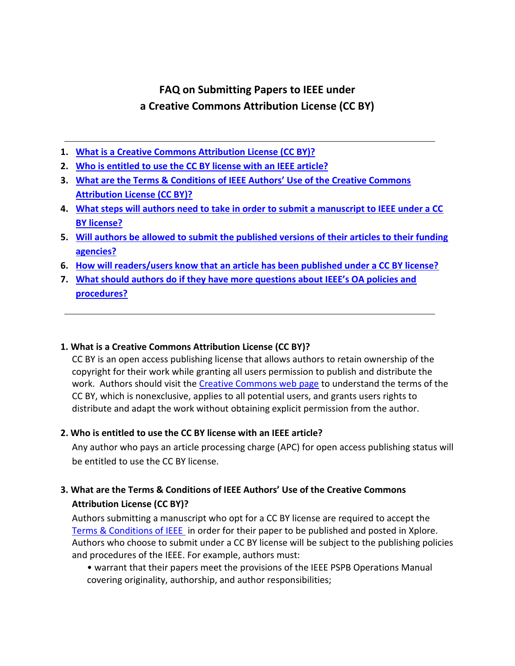# **FAQ on Submitting Papers to IEEE under a Creative Commons Attribution License (CC BY)**

- **1. [What is a Creative Commons Attribution License \(CC BY\)?](#page-0-0)**
- **2. [Who is entitled to use the CC BY license with an IEEE article?](#page-0-1)**
- **3. [What are the Terms & Conditions of IEEE Authors' Use of the Creative Commons](#page-0-2)  [Attribution License \(CC BY\)?](#page-0-2)**
- **4. [What steps will authors need to take in order to submit a manuscript to IEEE under a CC](#page-1-0)  [BY license?](#page-1-0)**
- **5. [Will authors be allowed to submit the published versions of their articles to their funding](#page-1-1)  [agencies?](#page-1-1)**
- **6. [How will readers/users know that an article has been published under a CC BY license?](#page-1-2)**
- **7. [What should authors do if they have more questions about IEEE's OA policies and](#page-1-3)  [procedures?](#page-1-3)**

#### <span id="page-0-0"></span>**1. What is a Creative Commons Attribution License (CC BY)?**

CC BY is an open access publishing license that allows authors to retain ownership of the copyright for their work while granting all users permission to publish and distribute the work. Authors should visit th[e Creative Commons web page](https://creativecommons.org/licenses/by/4.0/) to understand the terms of the CC BY, which is nonexclusive, applies to all potential users, and grants users rights to distribute and adapt the work without obtaining explicit permission from the author.

#### <span id="page-0-1"></span>**2. Who is entitled to use the CC BY license with an IEEE article?**

Any author who pays an article processing charge (APC) for open access publishing status will be entitled to use the CC BY license.

# <span id="page-0-2"></span>**3. What are the Terms & Conditions of IEEE Authors' Use of the Creative Commons Attribution License (CC BY)?**

Authors submitting a manuscript who opt for a CC BY license are required to accept the [Terms & Conditions of IEEE](http://www.ieee.org/publications_standards/publications/rights/oatermsconditionsfull.html) in order for their paper to be published and posted in Xplore. Authors who choose to submit under a CC BY license will be subject to the publishing policies and procedures of the IEEE. For example, authors must:

• warrant that their papers meet the provisions of the IEEE PSPB Operations Manual covering originality, authorship, and author responsibilities;